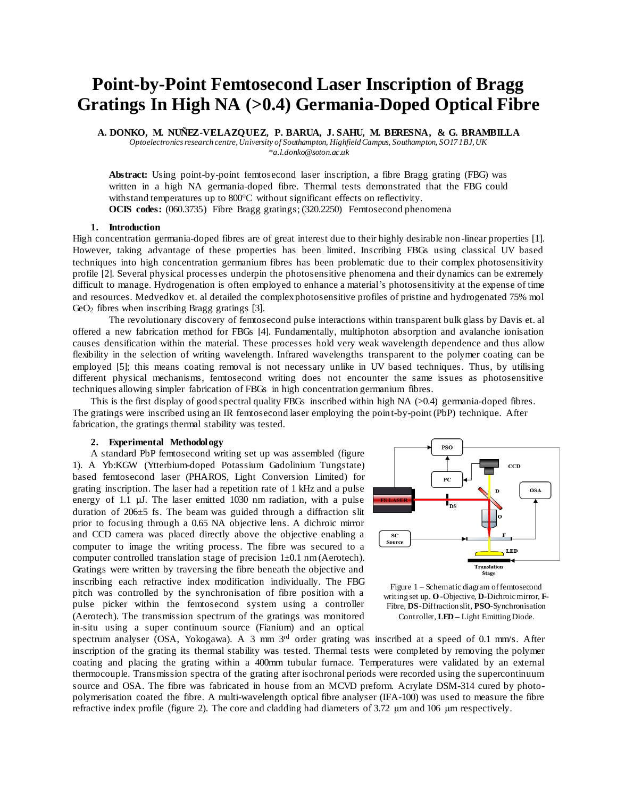# **Point-by-Point Femtosecond Laser Inscription of Bragg Gratings In High NA (>0.4) Germania-Doped Optical Fibre**

**A. DONKO, M. NUÑEZ-VELAZQUEZ, P. BARUA, J. SAHU, M. BERESNA, & G. BRAMBILLA**

*Optoelectronics research centre, University of Southampton, Highfield Campus, Southampton, SO17 1BJ, UK*

*\*a.l.donko@soton.ac.uk*

**Abstract:** Using point-by-point femtosecond laser inscription, a fibre Bragg grating (FBG) was written in a high NA germania-doped fibre. Thermal tests demonstrated that the FBG could withstand temperatures up to 800°C without significant effects on reflectivity. **OCIS** codes: (060.3735) Fibre Bragg gratings; (320.2250) Femtosecond phenomena

### **1. Introduction**

High concentration germania-doped fibres are of great interest due to their highly desirable non-linear properties [1]. However, taking advantage of these properties has been limited. Inscribing FBGs using classical UV based techniques into high concentration germanium fibres has been problematic due to their complex photosensitivity profile [2]. Several physical processes underpin the photosensitive phenomena and their dynamics can be extremely difficult to manage. Hydrogenation is often employed to enhance a material's photosensitivity at the expense of time and resources. Medvedkov et. al detailed the complex photosensitive profiles of pristine and hydrogenated 75% mol  $GeO<sub>2</sub>$  fibres when inscribing Bragg gratings [3].

The revolutionary discovery of femtosecond pulse interactions within transparent bulk glass by Davis et. al offered a new fabrication method for FBGs [4]. Fundamentally, multiphoton absorption and avalanche ionisation causes densification within the material. These processes hold very weak wavelength dependence and thus allow flexibility in the selection of writing wavelength. Infrared wavelengths transparent to the polymer coating can be employed [5]; this means coating removal is not necessary unlike in UV based techniques. Thus, by utilising different physical mechanisms, femtosecond writing does not encounter the same issues as photosensitive techniques allowing simpler fabrication of FBGs in high concentration germanium fibres.

This is the first display of good spectral quality FBGs inscribed within high NA  $(>0.4)$  germania-doped fibres. The gratings were inscribed using an IR femtosecond laser employing the point-by-point (PbP) technique. After fabrication, the gratings thermal stability was tested.

## **2. Experimental Methodology**

A standard PbP femtosecond writing set up was assembled (figure 1). A Yb:KGW (Ytterbium-doped Potassium Gadolinium Tungstate) based femtosecond laser (PHAROS, Light Conversion Limited) for grating inscription. The laser had a repetition rate of 1 kHz and a pulse energy of 1.1 µJ. The laser emitted 1030 nm radiation, with a pulse duration of 206±5 fs. The beam was guided through a diffraction slit prior to focusing through a 0.65 NA objective lens. A dichroic mirror and CCD camera was placed directly above the objective enabling a computer to image the writing process. The fibre was secured to a computer controlled translation stage of precision 1±0.1 nm (Aerotech). Gratings were written by traversing the fibre beneath the objective and inscribing each refractive index modification individually. The FBG pitch was controlled by the synchronisation of fibre position with a pulse picker within the femtosecond system using a controller (Aerotech). The transmission spectrum of the gratings was monitored in-situ using a super continuum source (Fianium) and an optical



Figure 1 – Schematic diagram of femtosecond writing set up. **O-**Objective, **D-**Dichroic mirror, **F-**Fibre, **DS**-Diffraction slit, **PSO**-Synchronisation Controller, **LED –** Light Emitting Diode.

spectrum analyser (OSA, Yokogawa). A 3 mm 3rd order grating was inscribed at a speed of 0.1 mm/s. After inscription of the grating its thermal stability was tested. Thermal tests were completed by removing the polymer coating and placing the grating within a 400mm tubular furnace. Temperatures were validated by an external thermocouple. Transmission spectra of the grating after isochronal periods were recorded using the supercontinuum source and OSA. The fibre was fabricated in house from an MCVD preform. Acrylate DSM-314 cured by photopolymerisation coated the fibre. A multi-wavelength optical fibre analyser (IFA-100) was used to measure the fibre refractive index profile (figure 2). The core and cladding had diameters of 3.72 μm and 106 μm respectively.